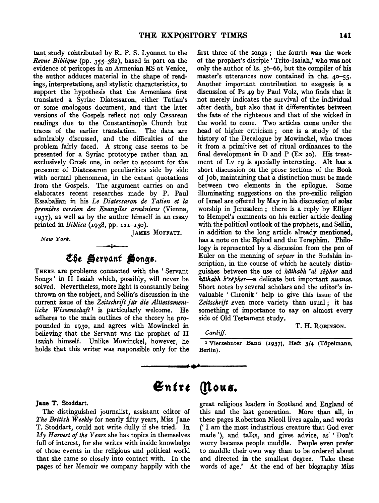tant study contributed by R. P. S. Lyonnet to the *Revue Biblique* (pp. 355-382 ), based in part on the evidence of pericopes in an Armenian MS at Venice, the author adduces material in the shape of readings, interpretations, and stylistic characteristics, to support the hypothesis that the Armenians first translated a Syriac Diatessaron, either Tatian's or some analogous document, and that the later versions of the Gospels reflect not only Cæsarean readings due to the Constantinople Church but traces of the earlier translation. The data are admirably discussed, and the difficulties of the problem fairly faced. A strong case seems to be presented for a Syriac prototype rather than an exclusively Greek one, in order to account for the presence of Diatessaron peculiarities side by side with normal phenomena, in the extant quotations from the Gospels. The argument carries on and elaborates recent researches made by P. Paul Essabalian in his *Le Diatessaron de Tatien et la premiere version des Evangiles armeniens* (Vienna, 1937), as well as by the author himself in an essay printed in *Biblica* (1938, pp. 121-150).

*New York.* 

JAMES MOFFATT.

# t~t -tt'~~nt **Monga.**

THERE are problems connected with the ' Servant Songs' in II Isaiah which, possibly, will never be solved. Nevertheless, more light is constantly being thrown on the subject, and Sellin's discussion in the current issue of the *Zeitschrift fur die Alttestamentliche Wissenschaft*<sup>1</sup> is particularly welcome. He adheres to the main outlines of the theory he propounded in 1930, and agrees with Mowinckel in believing that the Servant was the prophet of II Isaiah himself. Unlike Mowinckel, however, he holds that this writer was responsible only for the first three of the songs *;* the fourth was the work of the prophet's disciple' Trito-Isaiah,' who was not only the author of Is. 56-66, but the compiler of his master's utterances now contained in chs. 40-55. Another important contribution to exegesis is a discussion of Ps 49 by Paul Volz, who finds that it not merely indicates the survival of the individual after death, but also that it differentiates between the fate of the righteous and that of the wicked in the world to come. Two articles come under the head of higher criticism *;* one is a study of the history of the Decalogue by Mowinckel, who traces it from a primitive set of ritual ordinances to the final development in  $D$  and  $P$  (Ex 20). His treatment of Lv 19 is specially interesting. Alt has a short discussion on the prose sections of the Book of Job, maintaining that a distinction must be made between two elements in the epilogue. Some illuminating suggestions on the pre-exilic religion of Israel are offered by May in his discussion of solar worship in Jerusalem *;* there is a reply by Elliger to Hempel's comments on his earlier article dealing with the political outlook of the prophets, and Sellin, in addition to the long article already mentioned, has a note on the Ephod and the Teraphim. Philology is represented by a discussion from the pen of Euler on the meaning of *sepaer* in the Sudshin inscription, in the course of which he acutely distinguishes between the use of *kiithabh* • *al sepher* and *kiithabh b•sepher-a* delicate but important *nuance.*  Short notes by several scholars and the editor's invaluable ' Chronik ' help to give this issue of the Zeitschrift even more variety than usual; it has something of importance to say on almost every side of Old Testament study.

*Cardiff.* 

T. H. RoBINSON.

1 Vierzehnter Band (1937), Heft 3/4 (Topelmann, Berlin) .

# $\mathfrak{En}$ tre *(flous.*

...

## Jane T. Stoddart.

The distinguished journalist, assistant editor of *The British Weekly* for nearly fifty years, Miss Jane T. Stoddart, could not write dully if she tried. In *My Harvest of the Years* she has topics in themselves full of interest, for she writes with inside knowledge of those events in the religious and political world that she came so closely into contact with. In the pages of her Memoir we company happily with the great religious leaders in Scotland and England of this and the last generation. More than all, in these pages Robertson Nicoll lives again, and works (' I am the most industrious creature that God ever made '), and talks, and gives advice, as 'Don't worry because people muddle. People even prefer to muddle their own way than to be ordered about and directed in the smallest degree. Take these words of age.' At the end of her biography Miss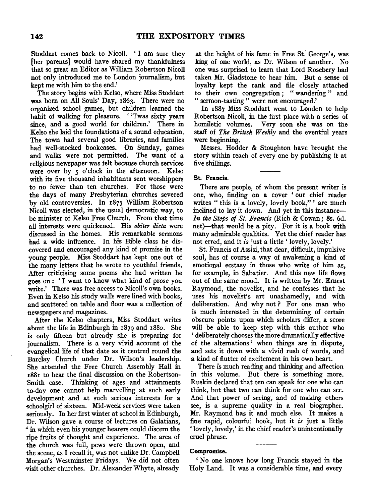Stoddart comes back to Nicoll. ' I am sure they [her parents] would have shared my thankfulness that so great an Editor as William Robertson Nicoll not only introduced me to London journalism, but kept me with him to the end.'

The story begins with Kelso, where Miss Stoddart was born on All Souls' Day, 1863. There were no organized school games, but children learned the habit of walking for pleasure. ' 'Twas sixty years since, and a good world for children.' There in Kelso she laid the foundations of a sound education. The town had several good libraries, and families had well-stocked bookcases. On Sunday, games and walks were not permitted. The want of a religious newspaper was felt because church services were over by *5* o'clock in the afternoon. Kelso with its five thousand inhabitants sent worshippers to no fewer than ten churches. For those were the days of many Presbyterian churches severed by old controversies. In 1877 William Robertson Nicoll was elected, in the usual democratic way, to be minister of Kelso Free Church. From that time all interests were quickened. His *obiter dicta* were discussed in the homes. His remarkable sermons had a wide influence. In his Bible class he discovered and encouraged any kind of promise in the young people. Miss Stoddart has kept one out of the many letters that he wrote to youthful friends. After criticising some poems she had written he goes on : ' I want to know what kind of prose you write.' There was free access to Nicoll's own books. Even in Kelso his study walls were lined with books, and scattered on table and floor was a collection of newspapers and magazines.

After the Kelso chapters, Miss Stoddart writes about the life in Edinburgh in 1879 and 188o. She is only fifteen but already she is preparing for journalism. There is a very vivid account of the evangelical life of that date as it centred round the Barclay Church under Dr. Wilson's leadership. She attended the Free Church Assembly Hall in x881 to hear the final discussion on the Robertson-Smith case. Thinking of ages and attainments to-day one cannot help marvelling at such early development and at such serious interests for a schoolgirl of sixteen. Mid-week services were taken seriously. In her first winter at school in Edinburgh, Dr. Wilson gave a course of lectures on Galatians, *<sup>4</sup>*in which even his younger hearers could discern the ripe fruits of thought and experience. The area of the church was full, pews were thrown open, and the scene, as I recall it, was not unlike Dr. Campbell Morgan's Westminster Fridays. We did not often visit other churches. Dr. Alexander Whyte, already

at the height of his fame in Free St. George's, was king of one world, as Dr. Wilson of another. No one was surprised to learn that Lord Rosebery had taken Mr. Gladstone to hear him. But a sense of loyalty kept the rank and file closely attached to their own congregation ; " wandering " and " sermon-tasting " were not encouraged.'

In 1887 Miss Stoddart went to London to help Robertson Nicoll, in the first place with a series of homiletic volumes. Very soon she was on the staff of *The British Weekly* and the eventful years were beginning.

Messrs. Hodder & Stoughton have brought the story within reach of every one by publishing it at five shillings.

### St. Francis.

There are people, of whom the present writer is one, who, finding on a cover ' our chief reader writes "this is a lovely, lovely book," ' are much inclined to lay it down. And yet in this instance-*In the Steps of St. Francis* (Rich & Cowan; Ss. 6d. net)-that would be a pity. For it is a book with many admirable qualities. Yet the chief reader has not erred, and it *is* just a little' lovely, lovely.'

St. Francis of Assisi, that dear, difficult, impulsive soul, has of course a way of awakening a kind of emotional ecstasy in those who write of him as, for example, in Sabatier. And this new life flows out of the same mood. It is written by Mr. Ernest Raymond, the novelist, and he confesses that he uses his novelist's art unashamedly, and with deliberation. And why not ? For one man who is much interested in the determining of certain obscure points upon which scholars differ, a score will be able to keep step with this author who ' deliberately chooses the more dramatically effective of the alternations ' when things are in dispute, and sets it down with a vivid rush of words, and a kind of flutter of excitement in his own heart.

There is much reading and thinking and affection in this volume. But there is something more. Ruskin declared that ten can speak for one who can think, but that two can think for one who can see. And that power of seeing, and of making others see, is a supreme quality in a real biographer. Mr. Raymond has it and much else. It makes a fine rapid, colourful book, but it *is* just a little 'lovely, lovely,' in the chief reader's unintentionally cruel phrase.

#### Compromise.

'No one knows how long Francis stayed in the Holy Land. It was a considerable time, and every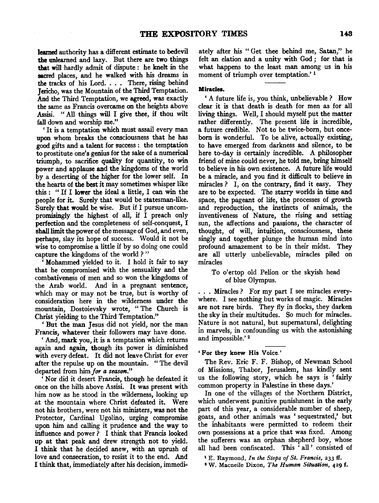learned authority has a different estimate to bedevil the unlearned and lazy. But there are two things that will hardly admit of dispute : he knelt in the sacred places, and he walked with his dreams in the tracks of his Lord. . . . There, rising behind Jericho, was the Mountain of the Third Temptation. And the Third Temptation, we agreed, was exactly the same as Francis overcame on the heights above Assisi. " All things will I give thee, if thou wilt fall down and worship me."

' It is a temptation which must assail every man upon whom breaks the consciousness that he has good gifts and a talent for success : the temptation to prostitute one's genius for the sake of a numerical triumph, to sacrifice quality for quantity, to win power and applause and the kingdoms of the world by a deserting of the higher for the lower self. In the hearts of the best it may sometimes whisper like this : " If I lower the ideal a little, I can win the people for it. Surely that would be statesman-like. Surely that would be wise. But if I pursue uncompromisingly the highest of all, if I preach only perfection and the completeness of self-conquest, I shall limit the power of the message of God, and even, perhaps, slay its hope of success. Would it not be wise to compromise a little if by so doing one could capture the kingdoms of the world ? "

' Mohammed yielded to it. I hold it fair to say that he compromised with the sensuality and the combativeness of men and so won the kingdoms of the Arab world. And in a pregnant sentence, which may or may not be true, but is worthy of consideration here in the wilderness under the mountain, Dostoievsky wrote, " The Church is Christ yielding to the Third Temptation."

'But the man Jesus did not yield, nor the man Francis, whatever their followers may have done.

' And, mark you, it is a temptation which returns again and again, though its power is diminished with every defeat. It did not leave Christ for ever after the repulse up on the mountain. " The devil departed from him *for a season."* 

'Nor did it desert Francis, though he defeated it once on the hills above Assisi. It was present with him now as he stood in the wilderness, looking up at the mountain where Christ defeated it. Were not his brothers, were not his ministers, was not the Protector, Cardinal Ugolino, urging compromise upon him and calling it prudence and the way to influence and power  $\overline{P}$  I think that Francis looked up at that peak and drew strength not to yield. I think that he decided anew, with an uprush of love and consecration, to resist it to the end. And I think that, immediately after his decision, immediately after his " Get thee behind me, Satan," he felt an elation and a unity with God ; for that is what happens to the least man among us in his moment of triumph over temptation.'<sup>1</sup>

#### Miracles.

'A future life is, you think, unbelievable? How clear it is that death is death for men as for all living things. Well, I should myself put the matter rather differently. The present life is incredible, a future credible. Not to be twice-born, but onceborn is wonderful. To be alive, actually existing, to have emerged from darkness and silence, to be here to-day is certainly incredible. A philosopher friend of mine could never, he told me, bring himself to believe in his own existence. A future life would be a miracle, and you find it difficult to believe in miracles? I, on the contrary, find it easy. They are to be expected. The starry worlds in time and space, the pageant of life, the processes of growth and reproduction, the instincts of animals, the inventiveness of Nature, the rising and setting sun, the affections and passions, the character of thought, of will, intuition, consciousness, these singly and together plunge the human mind into profound amazement to be in their midst. They are all utterly unbelievable, miracles piled on miracles

#### To o'ertop old Pelion or the skyish head of blue Olympus.

... Miracles? For my part I see miracles everywhere. I see nothing but works of magic. Miracles are not rare birds. They fly in flocks, they darken the sky in their multitudes. So much for miracles. Nature is not natural, but supernatural, delighting in marvels, in confounding us with the astonishing and impossible.' 2

#### 'For they knew His Voice.'

The Rev. Eric F. F. Bishop, of Newman School of Missions, Thabor, Jerusalem, has kindly sent us the following story, which he says is 'fairly common property in Palestine in these days.'

In one of the villages of the Northern District, which underwent punitive punishment in the early part of this year, a considerable number of sheep, goats, and other animals was ' sequestrated,' but the inhabitants were permitted to redeem their own possessions at a price that was fixed. Among the sufferers was an orphan shepherd boy, whose all had been confiscated. This 'all' consisted of

1 E. Raymonq, *In the Steps of St. Francis,* 233 ff.

2 W. Macneile Dixon, *The Human Situation,* 429 f.